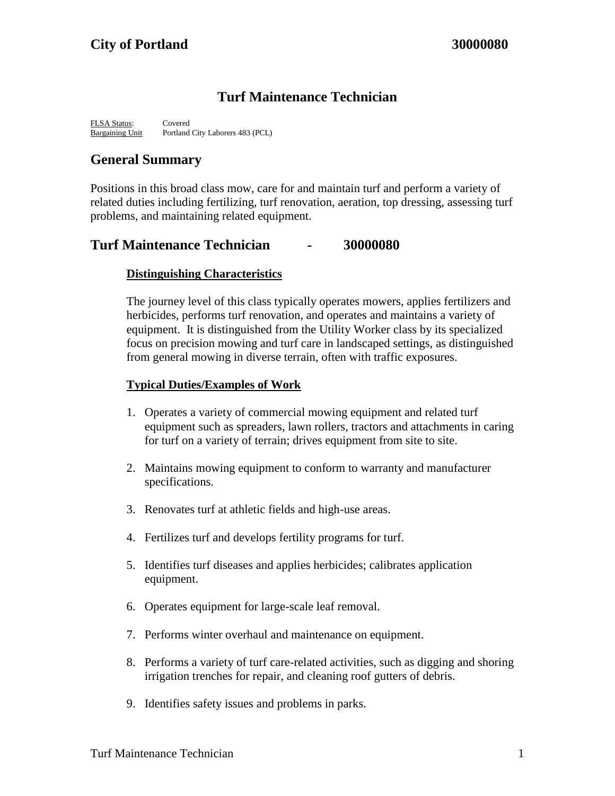# **Turf Maintenance Technician**

FLSA Status: Covered Bargaining Unit Portland City Laborers 483 (PCL)

# **General Summary**

Positions in this broad class mow, care for and maintain turf and perform a variety of related duties including fertilizing, turf renovation, aeration, top dressing, assessing turf problems, and maintaining related equipment.

## **Turf Maintenance Technician - 30000080**

## **Distinguishing Characteristics**

The journey level of this class typically operates mowers, applies fertilizers and herbicides, performs turf renovation, and operates and maintains a variety of equipment. It is distinguished from the Utility Worker class by its specialized focus on precision mowing and turf care in landscaped settings, as distinguished from general mowing in diverse terrain, often with traffic exposures.

## **Typical Duties/Examples of Work**

- 1. Operates a variety of commercial mowing equipment and related turf equipment such as spreaders, lawn rollers, tractors and attachments in caring for turf on a variety of terrain; drives equipment from site to site.
- 2. Maintains mowing equipment to conform to warranty and manufacturer specifications.
- 3. Renovates turf at athletic fields and high-use areas.
- 4. Fertilizes turf and develops fertility programs for turf.
- 5. Identifies turf diseases and applies herbicides; calibrates application equipment.
- 6. Operates equipment for large-scale leaf removal.
- 7. Performs winter overhaul and maintenance on equipment.
- 8. Performs a variety of turf care-related activities, such as digging and shoring irrigation trenches for repair, and cleaning roof gutters of debris.
- 9. Identifies safety issues and problems in parks.